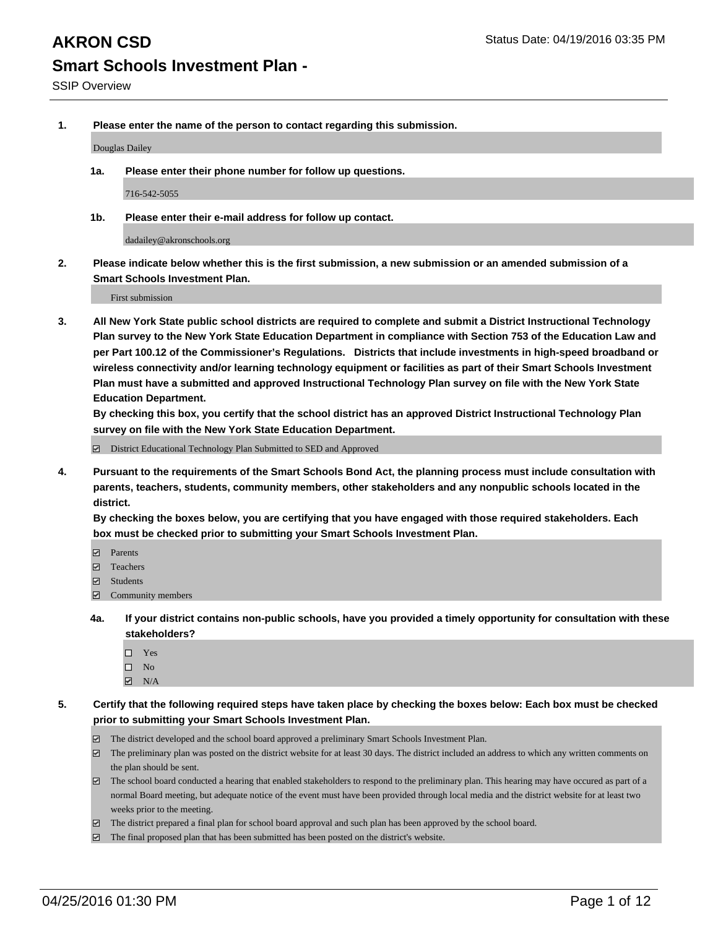**1. Please enter the name of the person to contact regarding this submission.**

Douglas Dailey

**1a. Please enter their phone number for follow up questions.**

716-542-5055

**1b. Please enter their e-mail address for follow up contact.**

dadailey@akronschools.org

**2. Please indicate below whether this is the first submission, a new submission or an amended submission of a Smart Schools Investment Plan.**

First submission

**3. All New York State public school districts are required to complete and submit a District Instructional Technology Plan survey to the New York State Education Department in compliance with Section 753 of the Education Law and per Part 100.12 of the Commissioner's Regulations. Districts that include investments in high-speed broadband or wireless connectivity and/or learning technology equipment or facilities as part of their Smart Schools Investment Plan must have a submitted and approved Instructional Technology Plan survey on file with the New York State Education Department.** 

**By checking this box, you certify that the school district has an approved District Instructional Technology Plan survey on file with the New York State Education Department.**

■ District Educational Technology Plan Submitted to SED and Approved

**4. Pursuant to the requirements of the Smart Schools Bond Act, the planning process must include consultation with parents, teachers, students, community members, other stakeholders and any nonpublic schools located in the district.** 

**By checking the boxes below, you are certifying that you have engaged with those required stakeholders. Each box must be checked prior to submitting your Smart Schools Investment Plan.**

- **Parents**
- □ Teachers
- Students
- $\boxdot$  Community members
- **4a. If your district contains non-public schools, have you provided a timely opportunity for consultation with these stakeholders?**
	- □ Yes
	- $\square$  No
	- $\boxtimes$  N/A
- **5. Certify that the following required steps have taken place by checking the boxes below: Each box must be checked prior to submitting your Smart Schools Investment Plan.**
	- The district developed and the school board approved a preliminary Smart Schools Investment Plan.
	- The preliminary plan was posted on the district website for at least 30 days. The district included an address to which any written comments on the plan should be sent.
	- $\Box$  The school board conducted a hearing that enabled stakeholders to respond to the preliminary plan. This hearing may have occured as part of a normal Board meeting, but adequate notice of the event must have been provided through local media and the district website for at least two weeks prior to the meeting.
	- The district prepared a final plan for school board approval and such plan has been approved by the school board.
	- The final proposed plan that has been submitted has been posted on the district's website.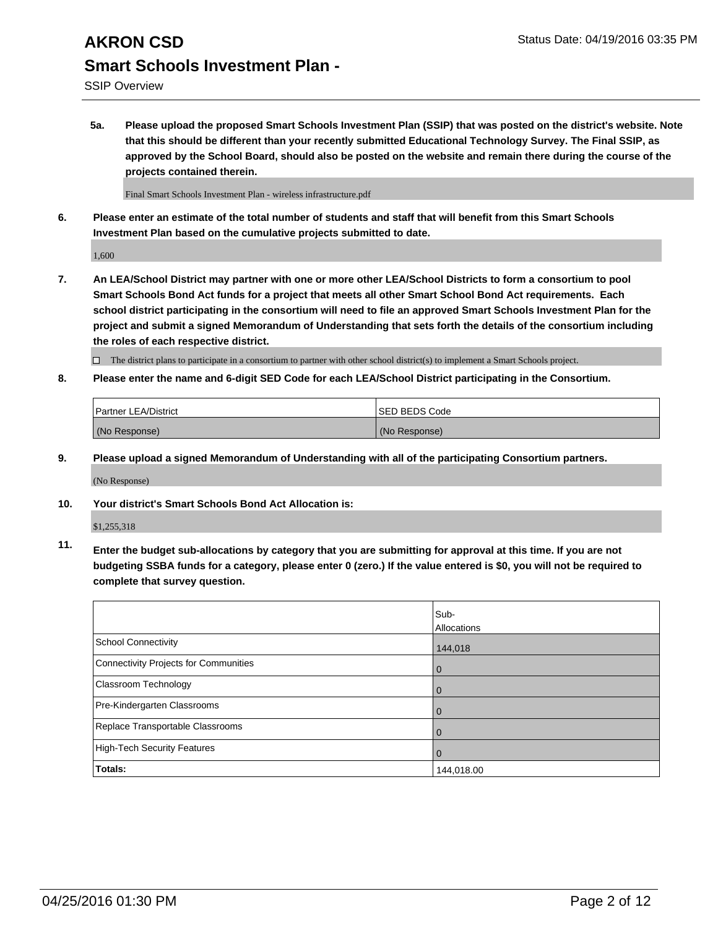## **AKRON CSD** Status Date: 04/19/2016 03:35 PM **Smart Schools Investment Plan -**

SSIP Overview

**5a. Please upload the proposed Smart Schools Investment Plan (SSIP) that was posted on the district's website. Note that this should be different than your recently submitted Educational Technology Survey. The Final SSIP, as approved by the School Board, should also be posted on the website and remain there during the course of the projects contained therein.**

Final Smart Schools Investment Plan - wireless infrastructure.pdf

**6. Please enter an estimate of the total number of students and staff that will benefit from this Smart Schools Investment Plan based on the cumulative projects submitted to date.**

1,600

**7. An LEA/School District may partner with one or more other LEA/School Districts to form a consortium to pool Smart Schools Bond Act funds for a project that meets all other Smart School Bond Act requirements. Each school district participating in the consortium will need to file an approved Smart Schools Investment Plan for the project and submit a signed Memorandum of Understanding that sets forth the details of the consortium including the roles of each respective district.**

 $\Box$  The district plans to participate in a consortium to partner with other school district(s) to implement a Smart Schools project.

**8. Please enter the name and 6-digit SED Code for each LEA/School District participating in the Consortium.**

| <b>Partner LEA/District</b> | <b>ISED BEDS Code</b> |
|-----------------------------|-----------------------|
| (No Response)               | (No Response)         |

**9. Please upload a signed Memorandum of Understanding with all of the participating Consortium partners.**

(No Response)

**10. Your district's Smart Schools Bond Act Allocation is:**

\$1,255,318

**11. Enter the budget sub-allocations by category that you are submitting for approval at this time. If you are not budgeting SSBA funds for a category, please enter 0 (zero.) If the value entered is \$0, you will not be required to complete that survey question.**

|                                              | Sub-<br>Allocations |
|----------------------------------------------|---------------------|
| <b>School Connectivity</b>                   | 144,018             |
| <b>Connectivity Projects for Communities</b> | 0                   |
| Classroom Technology                         | 0                   |
| Pre-Kindergarten Classrooms                  | 0                   |
| Replace Transportable Classrooms             | $\Omega$            |
| <b>High-Tech Security Features</b>           | $\Omega$            |
| Totals:                                      | 144,018.00          |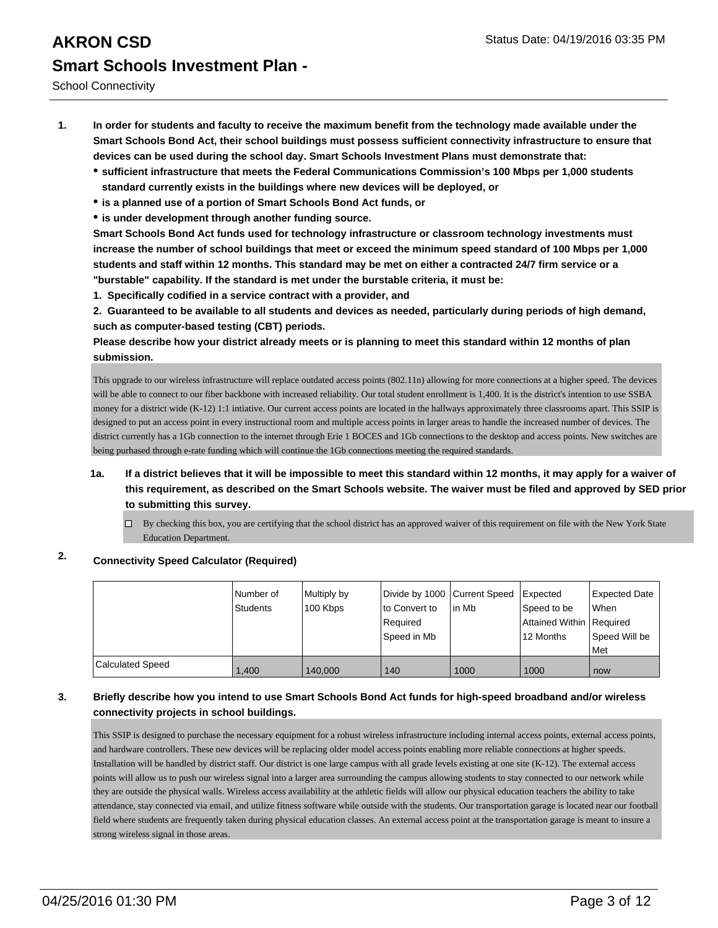School Connectivity

- **1. In order for students and faculty to receive the maximum benefit from the technology made available under the Smart Schools Bond Act, their school buildings must possess sufficient connectivity infrastructure to ensure that devices can be used during the school day. Smart Schools Investment Plans must demonstrate that:**
	- **sufficient infrastructure that meets the Federal Communications Commission's 100 Mbps per 1,000 students standard currently exists in the buildings where new devices will be deployed, or**
	- **is a planned use of a portion of Smart Schools Bond Act funds, or**
	- **is under development through another funding source.**

**Smart Schools Bond Act funds used for technology infrastructure or classroom technology investments must increase the number of school buildings that meet or exceed the minimum speed standard of 100 Mbps per 1,000 students and staff within 12 months. This standard may be met on either a contracted 24/7 firm service or a "burstable" capability. If the standard is met under the burstable criteria, it must be:**

**1. Specifically codified in a service contract with a provider, and**

**2. Guaranteed to be available to all students and devices as needed, particularly during periods of high demand, such as computer-based testing (CBT) periods.**

**Please describe how your district already meets or is planning to meet this standard within 12 months of plan submission.**

This upgrade to our wireless infrastructure will replace outdated access points (802.11n) allowing for more connections at a higher speed. The devices will be able to connect to our fiber backbone with increased reliability. Our total student enrollment is 1,400. It is the district's intention to use SSBA money for a district wide (K-12) 1:1 intiative. Our current access points are located in the hallways approximately three classrooms apart. This SSIP is designed to put an access point in every instructional room and multiple access points in larger areas to handle the increased number of devices. The district currently has a 1Gb connection to the internet through Erie 1 BOCES and 1Gb connections to the desktop and access points. New switches are being purhased through e-rate funding which will continue the 1Gb connections meeting the required standards.

- **1a. If a district believes that it will be impossible to meet this standard within 12 months, it may apply for a waiver of this requirement, as described on the Smart Schools website. The waiver must be filed and approved by SED prior to submitting this survey.**
	- By checking this box, you are certifying that the school district has an approved waiver of this requirement on file with the New York State Education Department.

#### **2. Connectivity Speed Calculator (Required)**

|                         | Number of<br>Students | Multiply by<br>100 Kbps | Divide by 1000 Current Speed<br>lto Convert to<br>Required<br>Speed in Mb | lin Mb | <b>I</b> Expected<br>Speed to be<br>Attained Within   Required<br>12 Months | Expected Date<br>When<br>Speed Will be<br>l Met |
|-------------------------|-----------------------|-------------------------|---------------------------------------------------------------------------|--------|-----------------------------------------------------------------------------|-------------------------------------------------|
| <b>Calculated Speed</b> | 1.400                 | 140.000                 | 140                                                                       | 1000   | 1000                                                                        | now                                             |

#### **3. Briefly describe how you intend to use Smart Schools Bond Act funds for high-speed broadband and/or wireless connectivity projects in school buildings.**

This SSIP is designed to purchase the necessary equipment for a robust wireless infrastructure including internal access points, external access points, and hardware controllers. These new devices will be replacing older model access points enabling more reliable connections at higher speeds. Installation will be handled by district staff. Our district is one large campus with all grade levels existing at one site (K-12). The external access points will allow us to push our wireless signal into a larger area surrounding the campus allowing students to stay connected to our network while they are outside the physical walls. Wireless access availability at the athletic fields will allow our physical education teachers the ability to take attendance, stay connected via email, and utilize fitness software while outside with the students. Our transportation garage is located near our football field where students are frequently taken during physical education classes. An external access point at the transportation garage is meant to insure a strong wireless signal in those areas.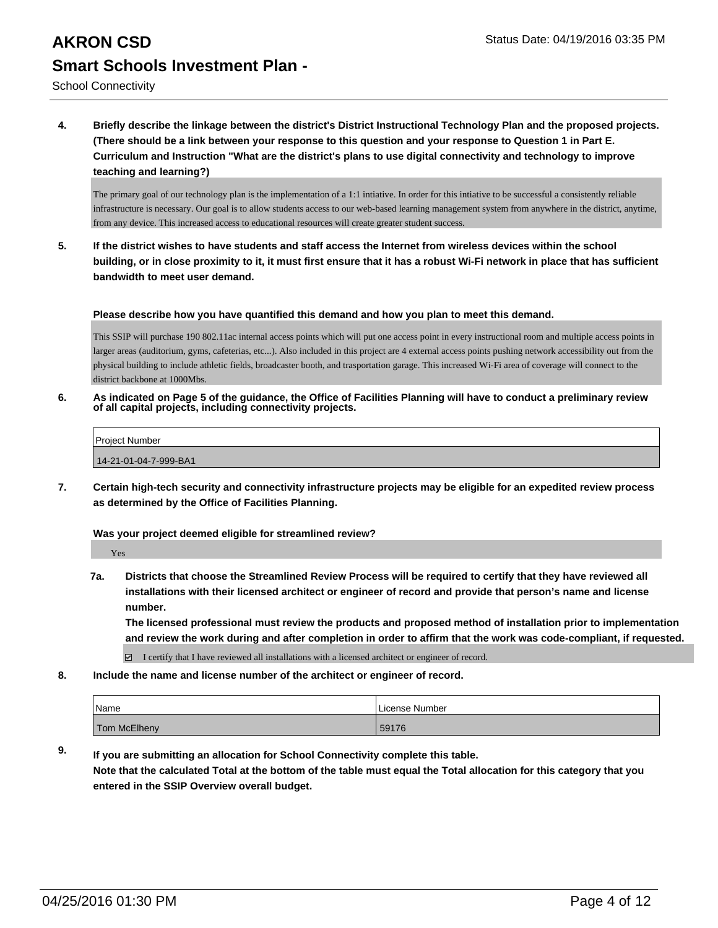## **AKRON CSD** Status Date: 04/19/2016 03:35 PM **Smart Schools Investment Plan -**

School Connectivity

**4. Briefly describe the linkage between the district's District Instructional Technology Plan and the proposed projects. (There should be a link between your response to this question and your response to Question 1 in Part E. Curriculum and Instruction "What are the district's plans to use digital connectivity and technology to improve teaching and learning?)**

The primary goal of our technology plan is the implementation of a 1:1 intiative. In order for this intiative to be successful a consistently reliable infrastructure is necessary. Our goal is to allow students access to our web-based learning management system from anywhere in the district, anytime, from any device. This increased access to educational resources will create greater student success.

**5. If the district wishes to have students and staff access the Internet from wireless devices within the school building, or in close proximity to it, it must first ensure that it has a robust Wi-Fi network in place that has sufficient bandwidth to meet user demand.**

**Please describe how you have quantified this demand and how you plan to meet this demand.**

This SSIP will purchase 190 802.11ac internal access points which will put one access point in every instructional room and multiple access points in larger areas (auditorium, gyms, cafeterias, etc...). Also included in this project are 4 external access points pushing network accessibility out from the physical building to include athletic fields, broadcaster booth, and trasportation garage. This increased Wi-Fi area of coverage will connect to the district backbone at 1000Mbs.

**6. As indicated on Page 5 of the guidance, the Office of Facilities Planning will have to conduct a preliminary review of all capital projects, including connectivity projects.**

| <b>Project Number</b> |  |
|-----------------------|--|
| 14-21-01-04-7-999-BA1 |  |

**7. Certain high-tech security and connectivity infrastructure projects may be eligible for an expedited review process as determined by the Office of Facilities Planning.**

#### **Was your project deemed eligible for streamlined review?**

Yes

**7a. Districts that choose the Streamlined Review Process will be required to certify that they have reviewed all installations with their licensed architect or engineer of record and provide that person's name and license number.**

**The licensed professional must review the products and proposed method of installation prior to implementation and review the work during and after completion in order to affirm that the work was code-compliant, if requested.**

I certify that I have reviewed all installations with a licensed architect or engineer of record.

**8. Include the name and license number of the architect or engineer of record.**

| Name         | License Number |
|--------------|----------------|
| Tom McElheny | 59176          |

**9. If you are submitting an allocation for School Connectivity complete this table. Note that the calculated Total at the bottom of the table must equal the Total allocation for this category that you entered in the SSIP Overview overall budget.**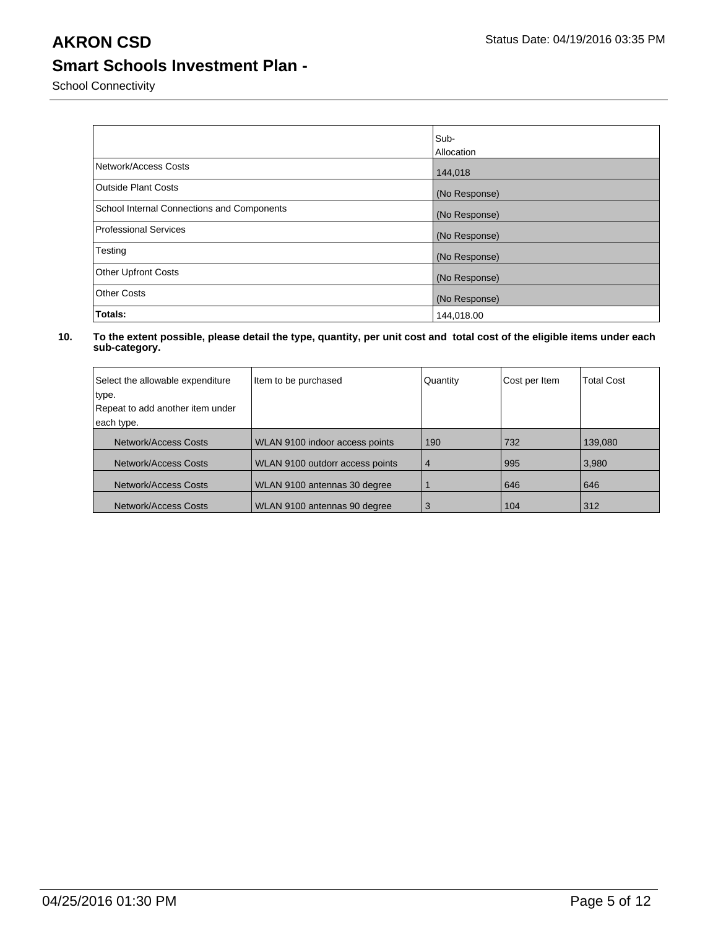School Connectivity

|                                            | Sub-          |
|--------------------------------------------|---------------|
|                                            | Allocation    |
| Network/Access Costs                       | 144,018       |
| <b>Outside Plant Costs</b>                 | (No Response) |
| School Internal Connections and Components | (No Response) |
| Professional Services                      | (No Response) |
| Testing                                    | (No Response) |
| <b>Other Upfront Costs</b>                 | (No Response) |
| <b>Other Costs</b>                         | (No Response) |
| Totals:                                    | 144,018.00    |

| Select the allowable expenditure | Item to be purchased            | Quantity       | Cost per Item | <b>Total Cost</b> |
|----------------------------------|---------------------------------|----------------|---------------|-------------------|
| type.                            |                                 |                |               |                   |
| Repeat to add another item under |                                 |                |               |                   |
| each type.                       |                                 |                |               |                   |
| <b>Network/Access Costs</b>      | WLAN 9100 indoor access points  | 190            | 732           | 139,080           |
| Network/Access Costs             | WLAN 9100 outdorr access points | $\overline{4}$ | 995           | 3,980             |
| Network/Access Costs             | WLAN 9100 antennas 30 degree    |                | 646           | 646               |
| Network/Access Costs             | WLAN 9100 antennas 90 degree    | 3              | 104           | 312               |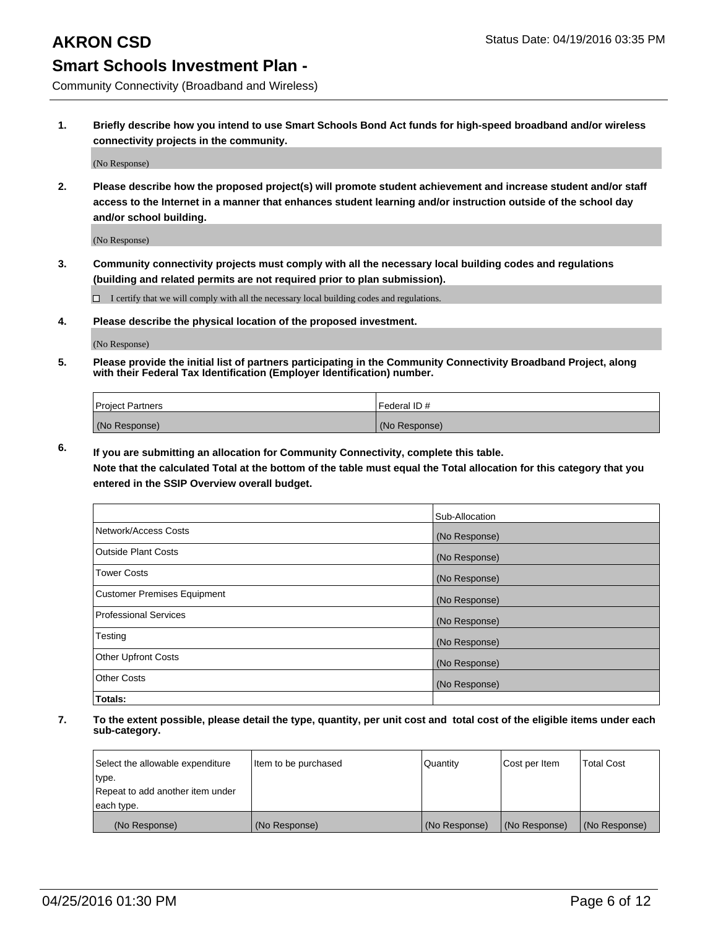Community Connectivity (Broadband and Wireless)

**1. Briefly describe how you intend to use Smart Schools Bond Act funds for high-speed broadband and/or wireless connectivity projects in the community.**

(No Response)

**2. Please describe how the proposed project(s) will promote student achievement and increase student and/or staff access to the Internet in a manner that enhances student learning and/or instruction outside of the school day and/or school building.**

(No Response)

**3. Community connectivity projects must comply with all the necessary local building codes and regulations (building and related permits are not required prior to plan submission).**

 $\Box$  I certify that we will comply with all the necessary local building codes and regulations.

**4. Please describe the physical location of the proposed investment.**

(No Response)

**5. Please provide the initial list of partners participating in the Community Connectivity Broadband Project, along with their Federal Tax Identification (Employer Identification) number.**

| <b>Project Partners</b> | I Federal ID # |
|-------------------------|----------------|
| (No Response)           | (No Response)  |

**6. If you are submitting an allocation for Community Connectivity, complete this table.**

**Note that the calculated Total at the bottom of the table must equal the Total allocation for this category that you entered in the SSIP Overview overall budget.**

|                                    | Sub-Allocation |
|------------------------------------|----------------|
| Network/Access Costs               | (No Response)  |
| Outside Plant Costs                | (No Response)  |
| <b>Tower Costs</b>                 | (No Response)  |
| <b>Customer Premises Equipment</b> | (No Response)  |
| Professional Services              | (No Response)  |
| Testing                            | (No Response)  |
| <b>Other Upfront Costs</b>         | (No Response)  |
| Other Costs                        | (No Response)  |
| Totals:                            |                |

| Select the allowable expenditure | Item to be purchased | Quantity      | Cost per Item | <b>Total Cost</b> |
|----------------------------------|----------------------|---------------|---------------|-------------------|
| type.                            |                      |               |               |                   |
| Repeat to add another item under |                      |               |               |                   |
| each type.                       |                      |               |               |                   |
| (No Response)                    | (No Response)        | (No Response) | (No Response) | (No Response)     |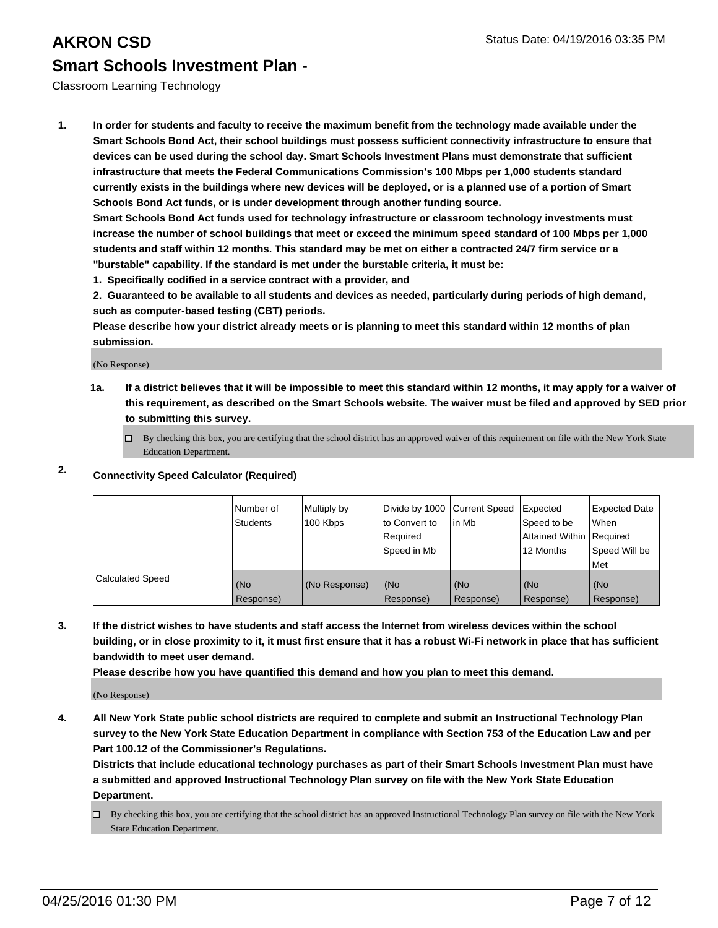#### Classroom Learning Technology

**1. In order for students and faculty to receive the maximum benefit from the technology made available under the Smart Schools Bond Act, their school buildings must possess sufficient connectivity infrastructure to ensure that devices can be used during the school day. Smart Schools Investment Plans must demonstrate that sufficient infrastructure that meets the Federal Communications Commission's 100 Mbps per 1,000 students standard currently exists in the buildings where new devices will be deployed, or is a planned use of a portion of Smart Schools Bond Act funds, or is under development through another funding source.**

**Smart Schools Bond Act funds used for technology infrastructure or classroom technology investments must increase the number of school buildings that meet or exceed the minimum speed standard of 100 Mbps per 1,000 students and staff within 12 months. This standard may be met on either a contracted 24/7 firm service or a "burstable" capability. If the standard is met under the burstable criteria, it must be:**

**1. Specifically codified in a service contract with a provider, and**

**2. Guaranteed to be available to all students and devices as needed, particularly during periods of high demand, such as computer-based testing (CBT) periods.**

**Please describe how your district already meets or is planning to meet this standard within 12 months of plan submission.**

(No Response)

**1a. If a district believes that it will be impossible to meet this standard within 12 months, it may apply for a waiver of this requirement, as described on the Smart Schools website. The waiver must be filed and approved by SED prior to submitting this survey.**

 $\Box$  By checking this box, you are certifying that the school district has an approved waiver of this requirement on file with the New York State Education Department.

### **2. Connectivity Speed Calculator (Required)**

|                         | INumber of<br><b>Students</b> | Multiply by<br>100 Kbps | Divide by 1000 Current Speed<br>Ito Convert to<br>Required<br>l Speed in Mb | lin Mb           | Expected<br>Speed to be<br>Attained Within   Required<br>12 Months | Expected Date<br><b>When</b><br>Speed Will be<br>l Met |
|-------------------------|-------------------------------|-------------------------|-----------------------------------------------------------------------------|------------------|--------------------------------------------------------------------|--------------------------------------------------------|
| <b>Calculated Speed</b> | (No<br>Response)              | (No Response)           | (No<br>Response)                                                            | (No<br>Response) | (No<br>Response)                                                   | l (No<br>Response)                                     |

**3. If the district wishes to have students and staff access the Internet from wireless devices within the school building, or in close proximity to it, it must first ensure that it has a robust Wi-Fi network in place that has sufficient bandwidth to meet user demand.**

**Please describe how you have quantified this demand and how you plan to meet this demand.**

(No Response)

**4. All New York State public school districts are required to complete and submit an Instructional Technology Plan survey to the New York State Education Department in compliance with Section 753 of the Education Law and per Part 100.12 of the Commissioner's Regulations.**

**Districts that include educational technology purchases as part of their Smart Schools Investment Plan must have a submitted and approved Instructional Technology Plan survey on file with the New York State Education Department.**

 $\Box$  By checking this box, you are certifying that the school district has an approved Instructional Technology Plan survey on file with the New York State Education Department.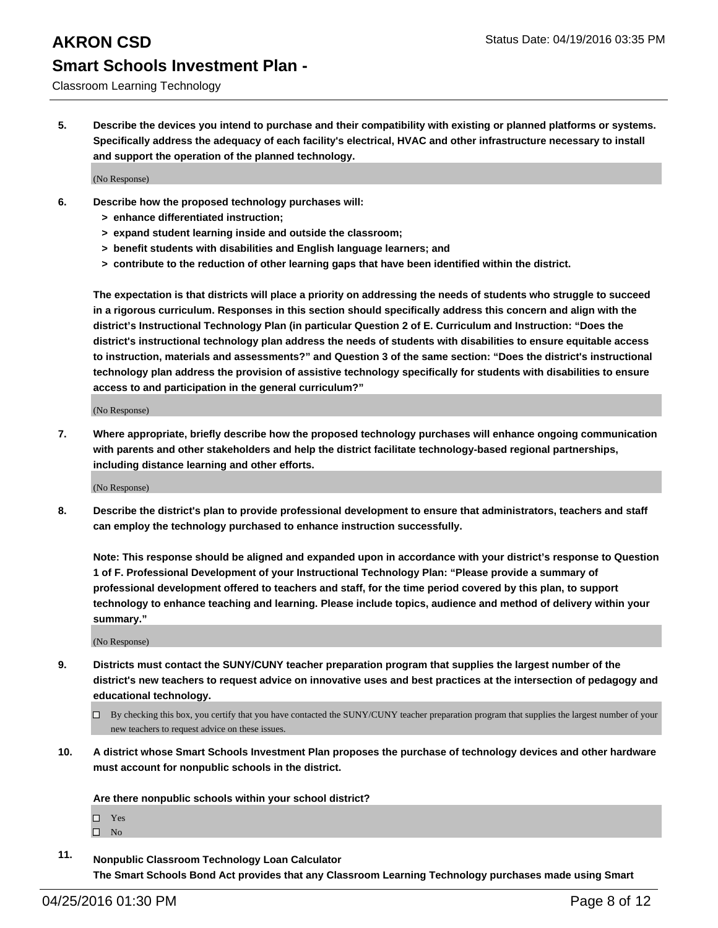#### Classroom Learning Technology

**5. Describe the devices you intend to purchase and their compatibility with existing or planned platforms or systems. Specifically address the adequacy of each facility's electrical, HVAC and other infrastructure necessary to install and support the operation of the planned technology.**

(No Response)

- **6. Describe how the proposed technology purchases will:**
	- **> enhance differentiated instruction;**
	- **> expand student learning inside and outside the classroom;**
	- **> benefit students with disabilities and English language learners; and**
	- **> contribute to the reduction of other learning gaps that have been identified within the district.**

**The expectation is that districts will place a priority on addressing the needs of students who struggle to succeed in a rigorous curriculum. Responses in this section should specifically address this concern and align with the district's Instructional Technology Plan (in particular Question 2 of E. Curriculum and Instruction: "Does the district's instructional technology plan address the needs of students with disabilities to ensure equitable access to instruction, materials and assessments?" and Question 3 of the same section: "Does the district's instructional technology plan address the provision of assistive technology specifically for students with disabilities to ensure access to and participation in the general curriculum?"**

(No Response)

**7. Where appropriate, briefly describe how the proposed technology purchases will enhance ongoing communication with parents and other stakeholders and help the district facilitate technology-based regional partnerships, including distance learning and other efforts.**

(No Response)

**8. Describe the district's plan to provide professional development to ensure that administrators, teachers and staff can employ the technology purchased to enhance instruction successfully.**

**Note: This response should be aligned and expanded upon in accordance with your district's response to Question 1 of F. Professional Development of your Instructional Technology Plan: "Please provide a summary of professional development offered to teachers and staff, for the time period covered by this plan, to support technology to enhance teaching and learning. Please include topics, audience and method of delivery within your summary."**

(No Response)

- **9. Districts must contact the SUNY/CUNY teacher preparation program that supplies the largest number of the district's new teachers to request advice on innovative uses and best practices at the intersection of pedagogy and educational technology.**
	- $\Box$  By checking this box, you certify that you have contacted the SUNY/CUNY teacher preparation program that supplies the largest number of your new teachers to request advice on these issues.
- **10. A district whose Smart Schools Investment Plan proposes the purchase of technology devices and other hardware must account for nonpublic schools in the district.**

**Are there nonpublic schools within your school district?**

□ Yes

 $\square$  No

**11. Nonpublic Classroom Technology Loan Calculator The Smart Schools Bond Act provides that any Classroom Learning Technology purchases made using Smart**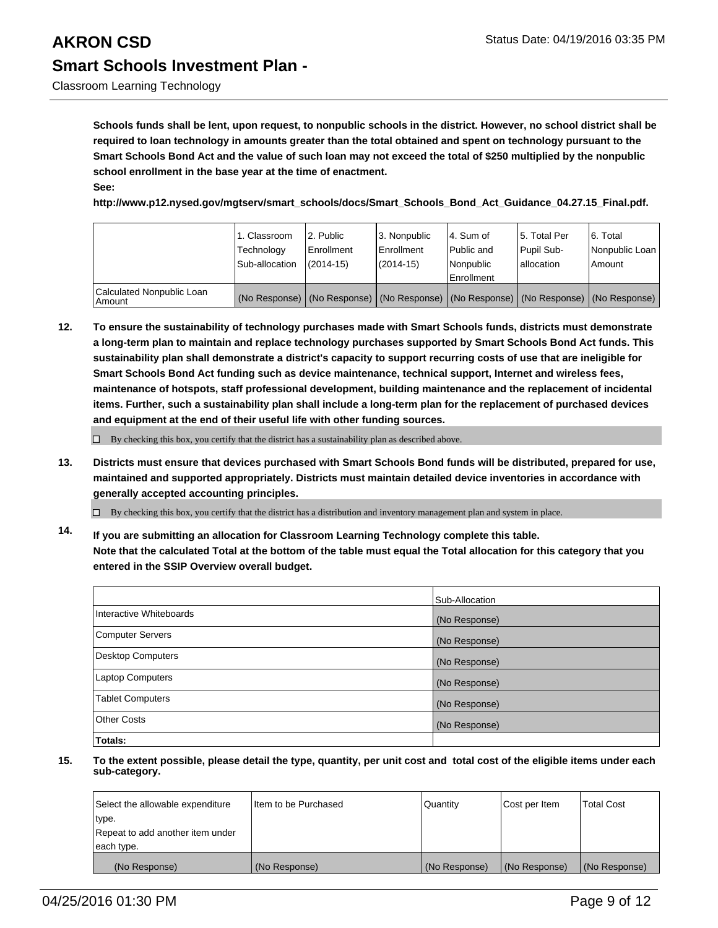## **AKRON CSD** Status Date: 04/19/2016 03:35 PM **Smart Schools Investment Plan -**

**Schools funds shall be lent, upon request, to nonpublic schools in the district. However, no school district shall be required to loan technology in amounts greater than the total obtained and spent on technology pursuant to the Smart Schools Bond Act and the value of such loan may not exceed the total of \$250 multiplied by the nonpublic school enrollment in the base year at the time of enactment. See:**

**http://www.p12.nysed.gov/mgtserv/smart\_schools/docs/Smart\_Schools\_Bond\_Act\_Guidance\_04.27.15\_Final.pdf.**

|                                     | 1. Classroom<br>Technology<br>Sub-allocation | 2. Public<br>Enrollment<br>$(2014 - 15)$ | 3. Nonpublic<br>Enrollment<br>(2014-15)                                                       | l 4. Sum of<br>Public and<br>Nonpublic<br>Enrollment | l 5. Total Per<br>Pupil Sub-<br>lallocation | 6. Total<br>Nonpublic Loan<br>Amount |
|-------------------------------------|----------------------------------------------|------------------------------------------|-----------------------------------------------------------------------------------------------|------------------------------------------------------|---------------------------------------------|--------------------------------------|
| Calculated Nonpublic Loan<br>Amount |                                              |                                          | (No Response)   (No Response)   (No Response)   (No Response)   (No Response)   (No Response) |                                                      |                                             |                                      |

**12. To ensure the sustainability of technology purchases made with Smart Schools funds, districts must demonstrate a long-term plan to maintain and replace technology purchases supported by Smart Schools Bond Act funds. This sustainability plan shall demonstrate a district's capacity to support recurring costs of use that are ineligible for Smart Schools Bond Act funding such as device maintenance, technical support, Internet and wireless fees, maintenance of hotspots, staff professional development, building maintenance and the replacement of incidental items. Further, such a sustainability plan shall include a long-term plan for the replacement of purchased devices and equipment at the end of their useful life with other funding sources.**

 $\Box$  By checking this box, you certify that the district has a sustainability plan as described above.

**13. Districts must ensure that devices purchased with Smart Schools Bond funds will be distributed, prepared for use, maintained and supported appropriately. Districts must maintain detailed device inventories in accordance with generally accepted accounting principles.**

 $\Box$  By checking this box, you certify that the district has a distribution and inventory management plan and system in place.

**14. If you are submitting an allocation for Classroom Learning Technology complete this table. Note that the calculated Total at the bottom of the table must equal the Total allocation for this category that you entered in the SSIP Overview overall budget.**

|                          | Sub-Allocation |
|--------------------------|----------------|
| Interactive Whiteboards  | (No Response)  |
| <b>Computer Servers</b>  | (No Response)  |
| <b>Desktop Computers</b> | (No Response)  |
| Laptop Computers         | (No Response)  |
| <b>Tablet Computers</b>  | (No Response)  |
| Other Costs              | (No Response)  |
| Totals:                  |                |

| Select the allowable expenditure | Item to be Purchased | Quantity      | Cost per Item | <b>Total Cost</b> |
|----------------------------------|----------------------|---------------|---------------|-------------------|
| type.                            |                      |               |               |                   |
| Repeat to add another item under |                      |               |               |                   |
| each type.                       |                      |               |               |                   |
| (No Response)                    | (No Response)        | (No Response) | (No Response) | (No Response)     |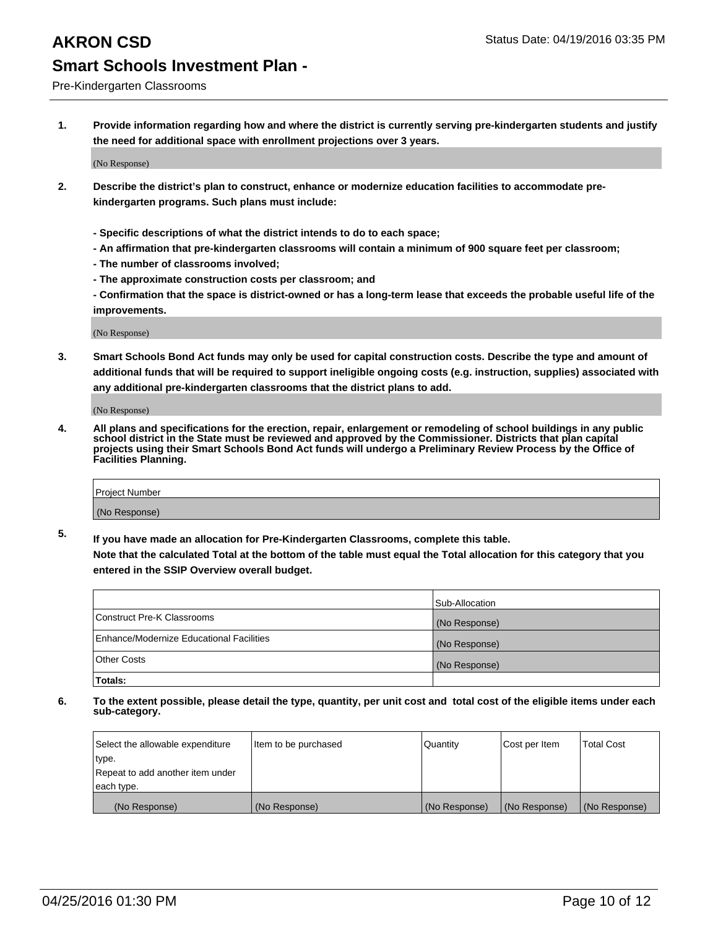Pre-Kindergarten Classrooms

**1. Provide information regarding how and where the district is currently serving pre-kindergarten students and justify the need for additional space with enrollment projections over 3 years.**

(No Response)

- **2. Describe the district's plan to construct, enhance or modernize education facilities to accommodate prekindergarten programs. Such plans must include:**
	- **Specific descriptions of what the district intends to do to each space;**
	- **An affirmation that pre-kindergarten classrooms will contain a minimum of 900 square feet per classroom;**
	- **The number of classrooms involved;**
	- **The approximate construction costs per classroom; and**
	- **Confirmation that the space is district-owned or has a long-term lease that exceeds the probable useful life of the improvements.**

(No Response)

**3. Smart Schools Bond Act funds may only be used for capital construction costs. Describe the type and amount of additional funds that will be required to support ineligible ongoing costs (e.g. instruction, supplies) associated with any additional pre-kindergarten classrooms that the district plans to add.**

(No Response)

**4. All plans and specifications for the erection, repair, enlargement or remodeling of school buildings in any public school district in the State must be reviewed and approved by the Commissioner. Districts that plan capital projects using their Smart Schools Bond Act funds will undergo a Preliminary Review Process by the Office of Facilities Planning.**

| Project Number |  |
|----------------|--|
| (No Response)  |  |

**5. If you have made an allocation for Pre-Kindergarten Classrooms, complete this table. Note that the calculated Total at the bottom of the table must equal the Total allocation for this category that you**

**entered in the SSIP Overview overall budget.**

|                                          | Sub-Allocation |
|------------------------------------------|----------------|
| Construct Pre-K Classrooms               | (No Response)  |
| Enhance/Modernize Educational Facilities | (No Response)  |
| Other Costs                              | (No Response)  |
| Totals:                                  |                |

| Select the allowable expenditure | Item to be purchased | Quantity      | Cost per Item | <b>Total Cost</b> |
|----------------------------------|----------------------|---------------|---------------|-------------------|
| type.                            |                      |               |               |                   |
| Repeat to add another item under |                      |               |               |                   |
| each type.                       |                      |               |               |                   |
| (No Response)                    | (No Response)        | (No Response) | (No Response) | (No Response)     |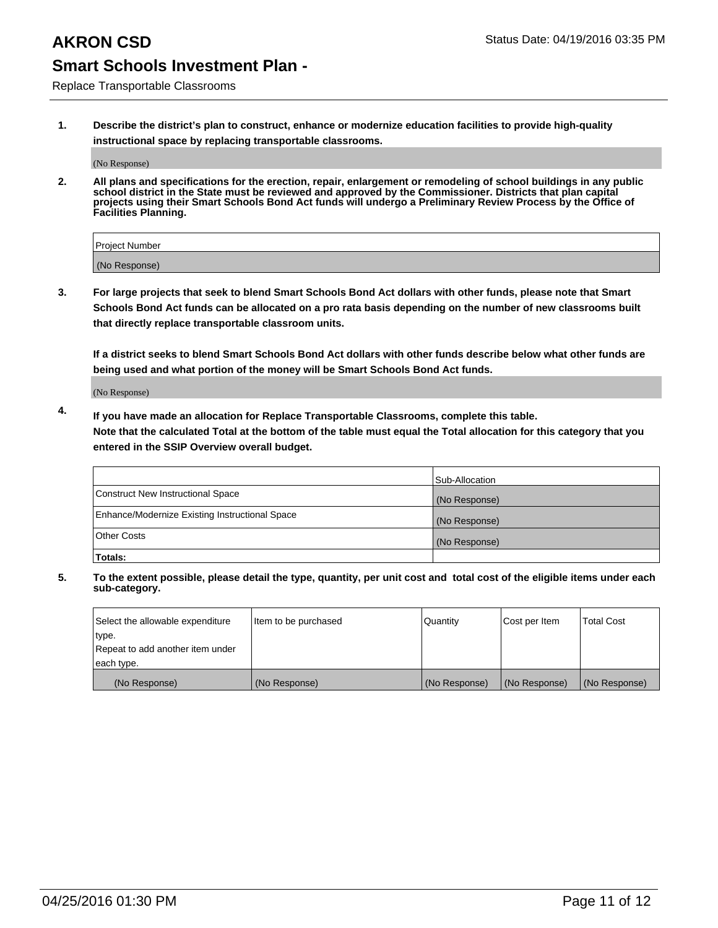Replace Transportable Classrooms

**1. Describe the district's plan to construct, enhance or modernize education facilities to provide high-quality instructional space by replacing transportable classrooms.**

(No Response)

**2. All plans and specifications for the erection, repair, enlargement or remodeling of school buildings in any public school district in the State must be reviewed and approved by the Commissioner. Districts that plan capital projects using their Smart Schools Bond Act funds will undergo a Preliminary Review Process by the Office of Facilities Planning.**

| Project Number |  |
|----------------|--|
| (No Response)  |  |

**3. For large projects that seek to blend Smart Schools Bond Act dollars with other funds, please note that Smart Schools Bond Act funds can be allocated on a pro rata basis depending on the number of new classrooms built that directly replace transportable classroom units.**

**If a district seeks to blend Smart Schools Bond Act dollars with other funds describe below what other funds are being used and what portion of the money will be Smart Schools Bond Act funds.**

(No Response)

**4. If you have made an allocation for Replace Transportable Classrooms, complete this table. Note that the calculated Total at the bottom of the table must equal the Total allocation for this category that you entered in the SSIP Overview overall budget.**

|                                                | Sub-Allocation |
|------------------------------------------------|----------------|
| Construct New Instructional Space              | (No Response)  |
| Enhance/Modernize Existing Instructional Space | (No Response)  |
| <b>Other Costs</b>                             | (No Response)  |
| Totals:                                        |                |

| Select the allowable expenditure | Item to be purchased | Quantity      | Cost per Item | <b>Total Cost</b> |
|----------------------------------|----------------------|---------------|---------------|-------------------|
| type.                            |                      |               |               |                   |
| Repeat to add another item under |                      |               |               |                   |
| each type.                       |                      |               |               |                   |
| (No Response)                    | (No Response)        | (No Response) | (No Response) | (No Response)     |